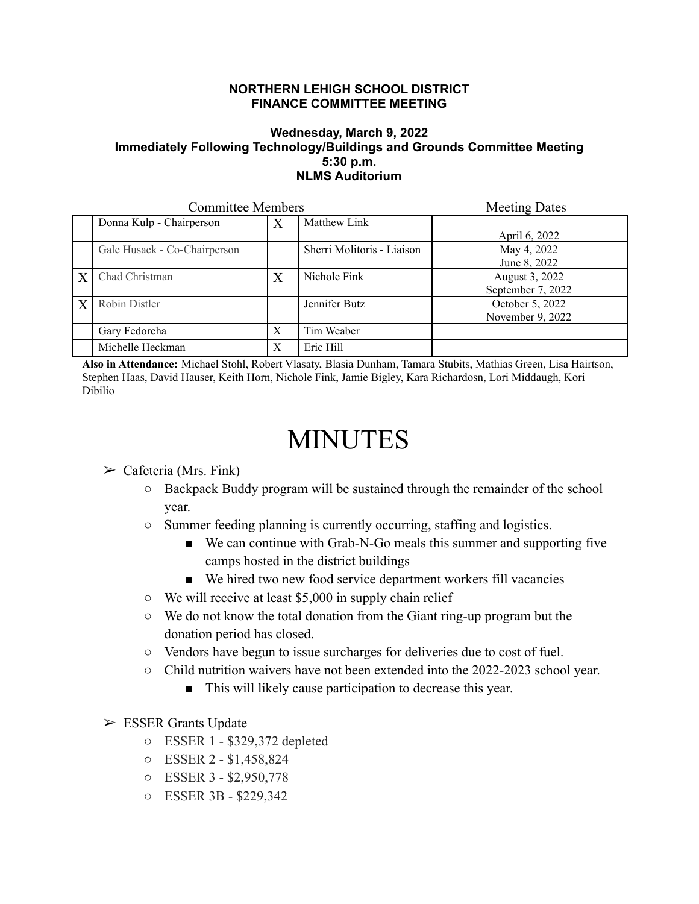## **NORTHERN LEHIGH SCHOOL DISTRICT FINANCE COMMITTEE MEETING**

## **Wednesday, March 9, 2022 Immediately Following Technology/Buildings and Grounds Committee Meeting 5:30 p.m. NLMS Auditorium**

| <b>Committee Members</b> |                              |   |                            | <b>Meeting Dates</b>                |
|--------------------------|------------------------------|---|----------------------------|-------------------------------------|
|                          | Donna Kulp - Chairperson     | X | Matthew Link               | April 6, 2022                       |
|                          | Gale Husack - Co-Chairperson |   | Sherri Molitoris - Liaison | May 4, 2022<br>June 8, 2022         |
| $\boldsymbol{X}$         | Chad Christman               | X | Nichole Fink               | August 3, 2022<br>September 7, 2022 |
| $\boldsymbol{X}$         | Robin Distler                |   | Jennifer Butz              | October 5, 2022<br>November 9, 2022 |
|                          | Gary Fedorcha                | X | Tim Weaber                 |                                     |
|                          | Michelle Heckman             | X | Eric Hill                  |                                     |

**Also in Attendance:** Michael Stohl, Robert Vlasaty, Blasia Dunham, Tamara Stubits, Mathias Green, Lisa Hairtson, Stephen Haas, David Hauser, Keith Horn, Nichole Fink, Jamie Bigley, Kara Richardosn, Lori Middaugh, Kori Dibilio

## MINUTES

## $\triangleright$  Cafeteria (Mrs. Fink)

- Backpack Buddy program will be sustained through the remainder of the school year.
- Summer feeding planning is currently occurring, staffing and logistics.
	- We can continue with Grab-N-Go meals this summer and supporting five camps hosted in the district buildings
	- We hired two new food service department workers fill vacancies
- We will receive at least \$5,000 in supply chain relief
- We do not know the total donation from the Giant ring-up program but the donation period has closed.
- Vendors have begun to issue surcharges for deliveries due to cost of fuel.
- Child nutrition waivers have not been extended into the 2022-2023 school year.
	- This will likely cause participation to decrease this year.
- $\triangleright$  ESSER Grants Update
	- ESSER 1 \$329,372 depleted
	- ESSER 2 \$1,458,824
	- ESSER 3 \$2,950,778
	- ESSER 3B \$229,342